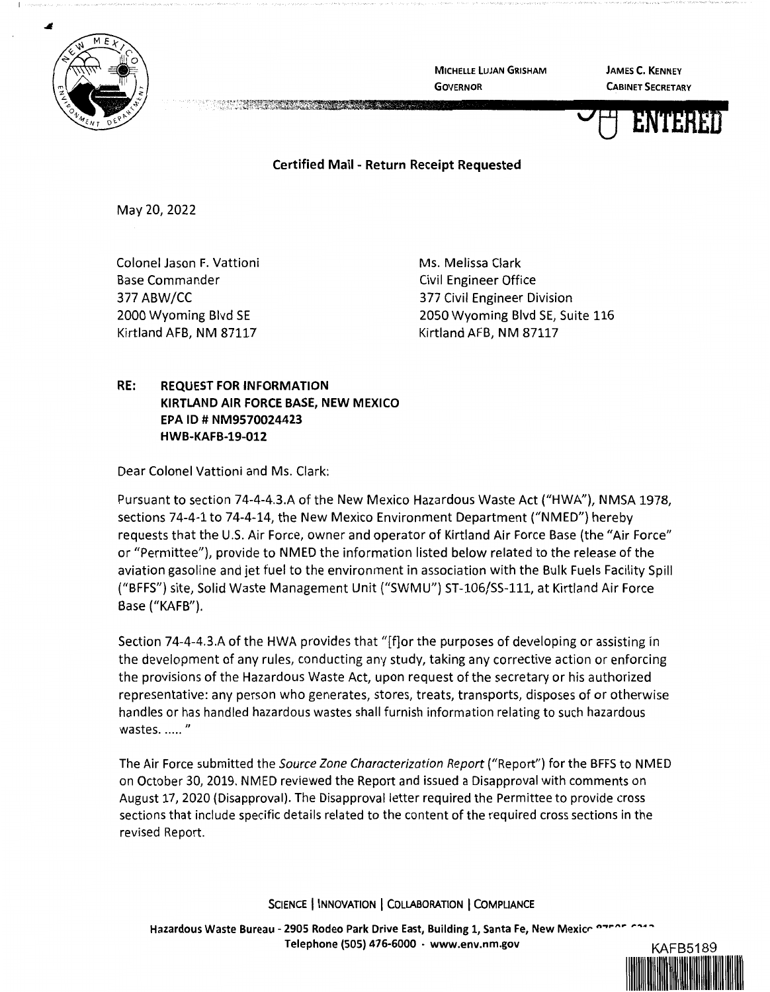

MICHELLE LUJAN GRISHAM GOVERNOR

JAMES C. KENNEY CABINET SECRETARY



IIIIIIIIIIIIIIIIIIIIIIIIIIIIIIIIIIIIIIIIIIIIIIIIII

Certified Mail - Return Receipt Requested

May 20, 2022

Colonel Jason F. Vattioni Base Commander 377 ABW/CC 2000 Wyoming Blvd SE Kirtland AFB, NM 87117

Ms. Melissa Clark Civil Engineer Office 377 Civil Engineer Division 2050 Wyoming Blvd SE, Suite 116 Kirtland AFB, NM 87117

## **RE: REQUEST FOR INFORMATION KIRTLAND AIR FORCE BASE, NEW MEXICO EPA** ID# **NM9570024423 HWB-KAFB-19-012**

Dear Colonel Vattioni and Ms. Clark:

Pursuant to section 74-4-4.3.A of the New Mexico Hazardous Waste Act ("HWA"), NMSA 1978, sections 74-4-1 to 74-4-14, the New Mexico Environment Department ("NMED") hereby requests that the U.S. Air Force, owner and operator of Kirtland Air Force Base (the "Air Force" or "Permittee"), provide to NMED the information listed below related to the release of the aviation gasoline and jet fuel to the environment in association with the Bulk Fuels Facility Spill ("BFFS") site, Solid Waste Management Unit ("SWMU") ST-106/SS-111, at Kirtland Air Force Base ("KAFB").

Section 74-4-4.3.A of the HWA provides that "[f]or the purposes of developing or assisting in the development of any rules, conducting any study, taking any corrective action or enforcing the provisions of the Hazardous Waste Act, upon request of the secretary or his authorized representative: any person who generates, stores, treats, transports, disposes of or otherwise handles or has handled hazardous wastes shall furnish information relating to such hazardous wastes. ..... "

The Air Force submitted the Source Zone Characterization Report ("Report") for the BFFS to NMED on October 30, 2019. NMED reviewed the Report and issued a Disapproval with comments on August 17, 2020 (Disapproval). The Disapproval letter required the Permittee to provide cross sections that include specific details related to the content of the required cross sections in the revised Report.

**SCIENCE** I **INNOVATION** I **COLLABORATION** I **COMPLIANCE**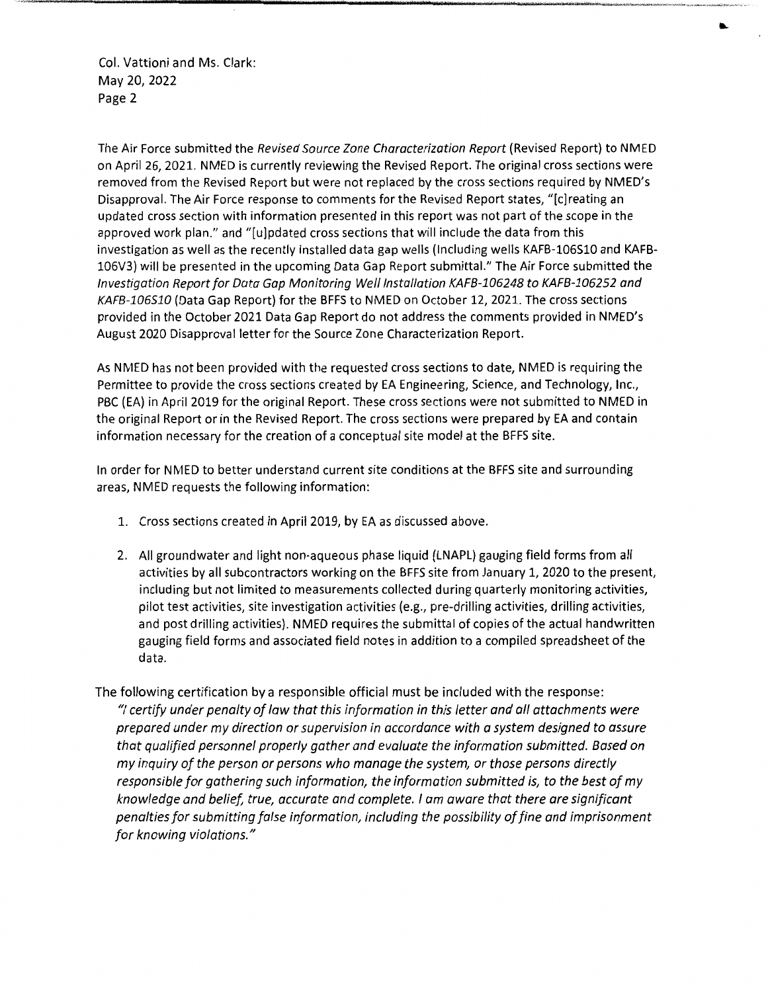Col. Vattioni and Ms. Clark: May 20, 2022 Page 2

The Air Force submitted the *Revised Source Zone Characterization Report* (Revised Report) to NMED on April 26, 2021. NMED is currently reviewing the Revised Report. The original cross sections were removed from the Revised Report but were not replaced by the cross sections required by NMED's Disapproval. The Air Force response to comments for the Revised Report states, "[c]reating an updated cross section with information presented in this report was not part of the scope in the approved work plan." and "[u]pdated cross sections that will include the data from this investigation as well as the recently installed data gap wells (Including wells KAFB-106S10 and KAFB-106V3) will be presented in the upcoming Data Gap Report submittal." The Air Force submitted the *Investigation Report for Data Gap Monitoring We/1 /nstallation KAFB-106248 to KAFB-106252 and KAFB-106510* (Data Gap Report) for the BFFS to NMED on October 12, 2021. The cross sections provided in the October 2021 Data Gap Report do not address the comments provided in NMED's August 2020 Disapproval letter for the Source Zone Characterization Report.

As NMED has not been provided with the requested cross sections to date, NMED is requiring the Permittee to provide the cross sections created by EA Engineering, Science, and Technology, Inc., PBC (EA) in April 2019 for the original Report. These cross sections were not submitted to NMED in the original Report or in the Revised Report. The cross sections were prepared by EA and contain information necessary for the creation of a conceptual site model at the BFFS site.

In order for NMED to better understand current site conditions at the BFFS site and surrounding areas, NMED requests the following information:

- 1. Cross sections created in April 2019, by EA as discussed above.
- 2. All groundwater and light non-aqueous phase liquid (LNAPL) gauging field forms from all activities by all subcontractors working on the BFFS site from January 1, 2020 to the present, including but not limited to measurements collected during quarterly monitoring activities, pilot test activities, site investigation activities (e.g., pre-drilling activities, drilling activities, and post drilling activities). NMED requires the submittal of copies of the actual handwritten gauging field forms and associated field notes in addition to a compiled spreadsheet of the data.
- The following certification by a responsible official must be included with the response: *"I certify under penalty of law that this information in this letter and all attachments were prepared under my direction or supervision in accordance with a system designed to assure that qualified personnel properly gather and evaluate the information submitted. Based on my inquiry of the person or persons who manage the system, or those persons directly responsible for gathering such information, the information submitted is, to the best of my knowledge and belief, true, accurate and complete. I am aware that there are significant penalties for submitting false information, including the possibility of fine and imprisonment for knowing violations."*